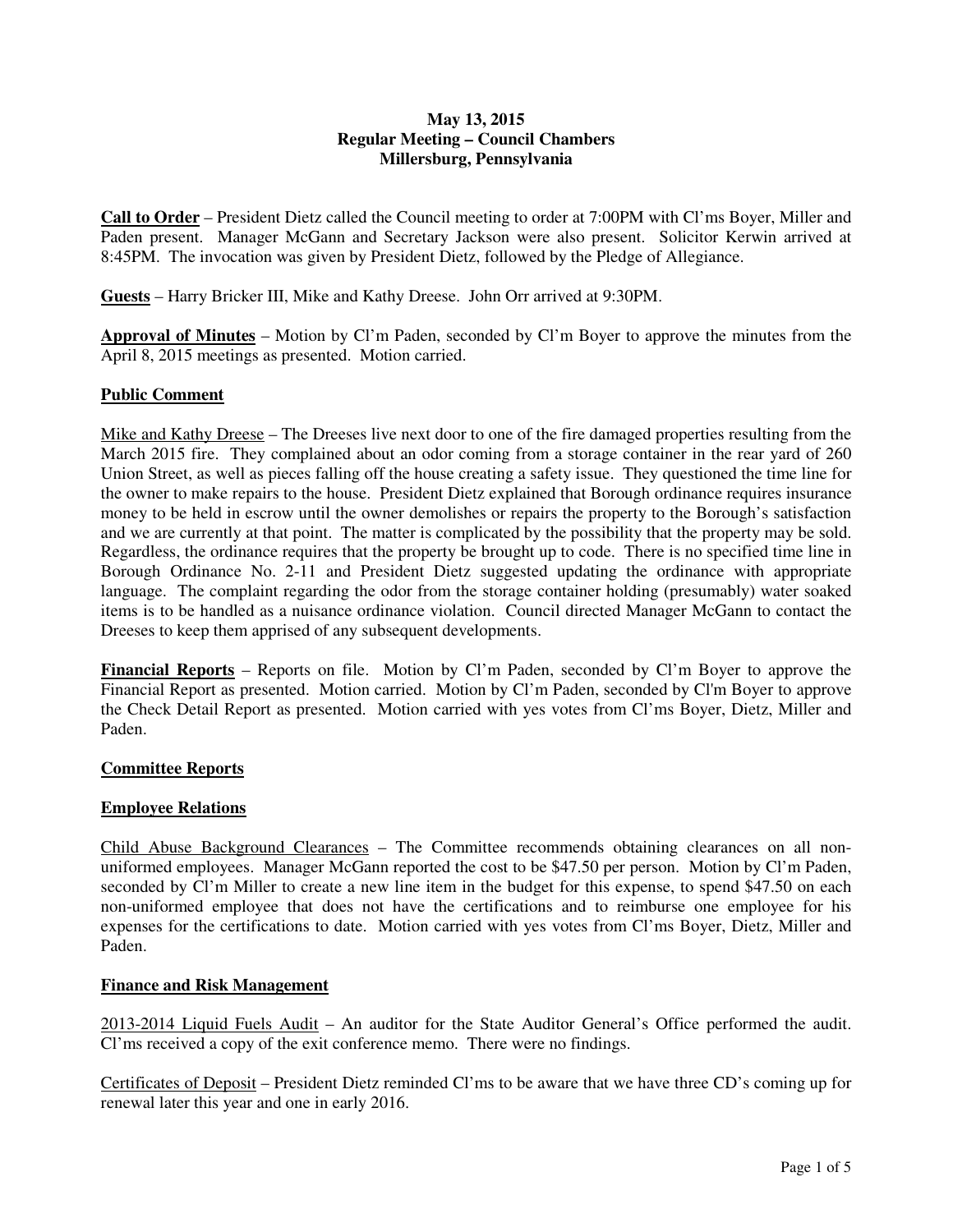## **May 13, 2015 Regular Meeting – Council Chambers Millersburg, Pennsylvania**

**Call to Order** – President Dietz called the Council meeting to order at 7:00PM with Cl'ms Boyer, Miller and Paden present. Manager McGann and Secretary Jackson were also present. Solicitor Kerwin arrived at 8:45PM. The invocation was given by President Dietz, followed by the Pledge of Allegiance.

**Guests** – Harry Bricker III, Mike and Kathy Dreese. John Orr arrived at 9:30PM.

**Approval of Minutes** – Motion by Cl'm Paden, seconded by Cl'm Boyer to approve the minutes from the April 8, 2015 meetings as presented. Motion carried.

# **Public Comment**

Mike and Kathy Dreese – The Dreeses live next door to one of the fire damaged properties resulting from the March 2015 fire. They complained about an odor coming from a storage container in the rear yard of 260 Union Street, as well as pieces falling off the house creating a safety issue. They questioned the time line for the owner to make repairs to the house. President Dietz explained that Borough ordinance requires insurance money to be held in escrow until the owner demolishes or repairs the property to the Borough's satisfaction and we are currently at that point. The matter is complicated by the possibility that the property may be sold. Regardless, the ordinance requires that the property be brought up to code. There is no specified time line in Borough Ordinance No. 2-11 and President Dietz suggested updating the ordinance with appropriate language. The complaint regarding the odor from the storage container holding (presumably) water soaked items is to be handled as a nuisance ordinance violation. Council directed Manager McGann to contact the Dreeses to keep them apprised of any subsequent developments.

**Financial Reports** – Reports on file. Motion by Cl'm Paden, seconded by Cl'm Boyer to approve the Financial Report as presented. Motion carried. Motion by Cl'm Paden, seconded by Cl'm Boyer to approve the Check Detail Report as presented. Motion carried with yes votes from Cl'ms Boyer, Dietz, Miller and Paden.

## **Committee Reports**

## **Employee Relations**

Child Abuse Background Clearances – The Committee recommends obtaining clearances on all nonuniformed employees. Manager McGann reported the cost to be \$47.50 per person. Motion by Cl'm Paden, seconded by Cl'm Miller to create a new line item in the budget for this expense, to spend \$47.50 on each non-uniformed employee that does not have the certifications and to reimburse one employee for his expenses for the certifications to date. Motion carried with yes votes from Cl'ms Boyer, Dietz, Miller and Paden.

## **Finance and Risk Management**

2013-2014 Liquid Fuels Audit – An auditor for the State Auditor General's Office performed the audit. Cl'ms received a copy of the exit conference memo. There were no findings.

Certificates of Deposit – President Dietz reminded Cl'ms to be aware that we have three CD's coming up for renewal later this year and one in early 2016.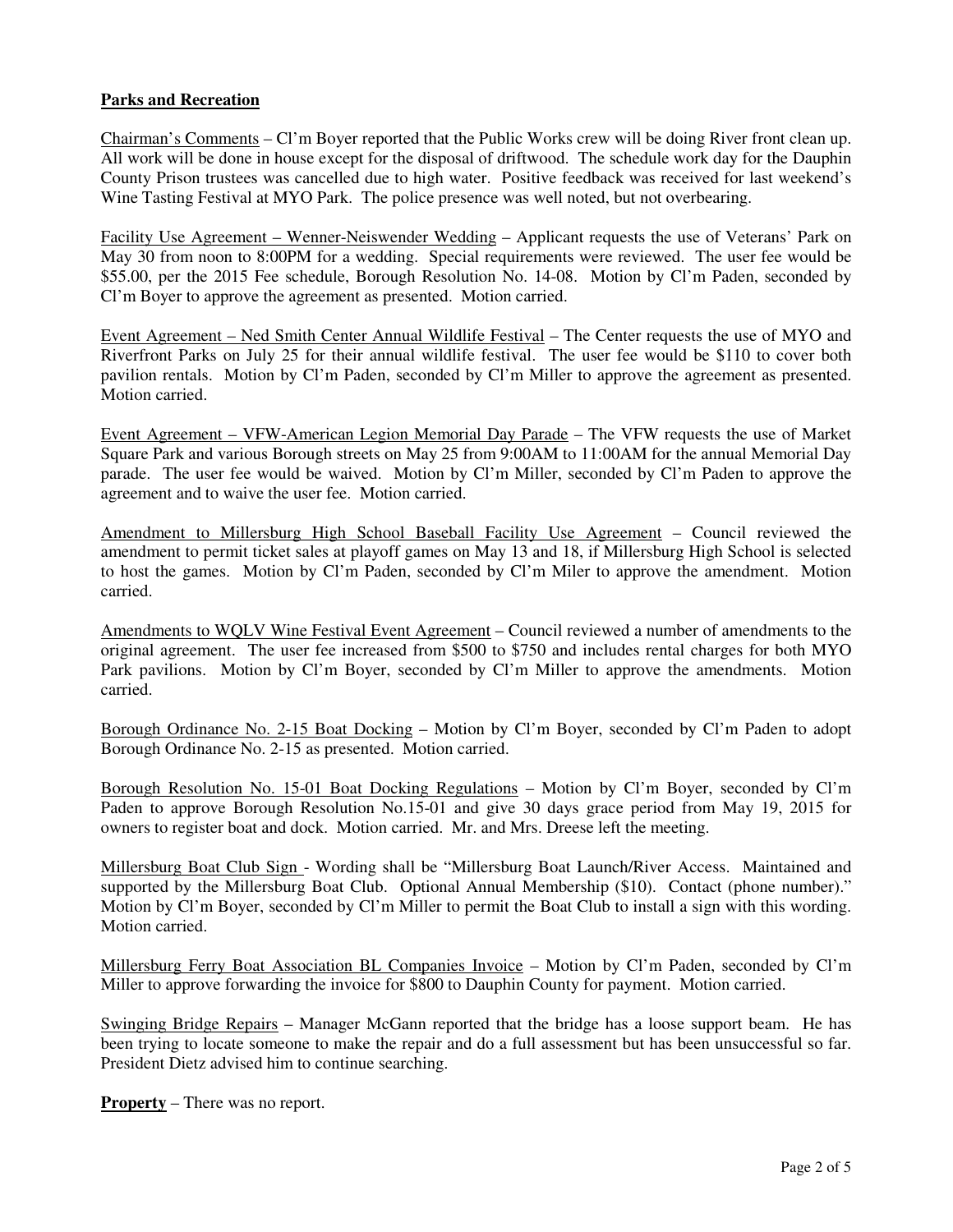## **Parks and Recreation**

Chairman's Comments – Cl'm Boyer reported that the Public Works crew will be doing River front clean up. All work will be done in house except for the disposal of driftwood. The schedule work day for the Dauphin County Prison trustees was cancelled due to high water. Positive feedback was received for last weekend's Wine Tasting Festival at MYO Park. The police presence was well noted, but not overbearing.

Facility Use Agreement – Wenner-Neiswender Wedding – Applicant requests the use of Veterans' Park on May 30 from noon to 8:00PM for a wedding. Special requirements were reviewed. The user fee would be \$55.00, per the 2015 Fee schedule, Borough Resolution No. 14-08. Motion by Cl'm Paden, seconded by Cl'm Boyer to approve the agreement as presented. Motion carried.

Event Agreement – Ned Smith Center Annual Wildlife Festival – The Center requests the use of MYO and Riverfront Parks on July 25 for their annual wildlife festival. The user fee would be \$110 to cover both pavilion rentals. Motion by Cl'm Paden, seconded by Cl'm Miller to approve the agreement as presented. Motion carried.

Event Agreement – VFW-American Legion Memorial Day Parade – The VFW requests the use of Market Square Park and various Borough streets on May 25 from 9:00AM to 11:00AM for the annual Memorial Day parade. The user fee would be waived. Motion by Cl'm Miller, seconded by Cl'm Paden to approve the agreement and to waive the user fee. Motion carried.

Amendment to Millersburg High School Baseball Facility Use Agreement – Council reviewed the amendment to permit ticket sales at playoff games on May 13 and 18, if Millersburg High School is selected to host the games. Motion by Cl'm Paden, seconded by Cl'm Miler to approve the amendment. Motion carried.

Amendments to WQLV Wine Festival Event Agreement – Council reviewed a number of amendments to the original agreement. The user fee increased from \$500 to \$750 and includes rental charges for both MYO Park pavilions. Motion by Cl'm Boyer, seconded by Cl'm Miller to approve the amendments. Motion carried.

Borough Ordinance No. 2-15 Boat Docking – Motion by Cl'm Boyer, seconded by Cl'm Paden to adopt Borough Ordinance No. 2-15 as presented. Motion carried.

Borough Resolution No. 15-01 Boat Docking Regulations – Motion by Cl'm Boyer, seconded by Cl'm Paden to approve Borough Resolution No.15-01 and give 30 days grace period from May 19, 2015 for owners to register boat and dock. Motion carried. Mr. and Mrs. Dreese left the meeting.

Millersburg Boat Club Sign - Wording shall be "Millersburg Boat Launch/River Access. Maintained and supported by the Millersburg Boat Club. Optional Annual Membership (\$10). Contact (phone number)." Motion by Cl'm Boyer, seconded by Cl'm Miller to permit the Boat Club to install a sign with this wording. Motion carried.

Millersburg Ferry Boat Association BL Companies Invoice – Motion by Cl'm Paden, seconded by Cl'm Miller to approve forwarding the invoice for \$800 to Dauphin County for payment. Motion carried.

Swinging Bridge Repairs – Manager McGann reported that the bridge has a loose support beam. He has been trying to locate someone to make the repair and do a full assessment but has been unsuccessful so far. President Dietz advised him to continue searching.

**Property** – There was no report.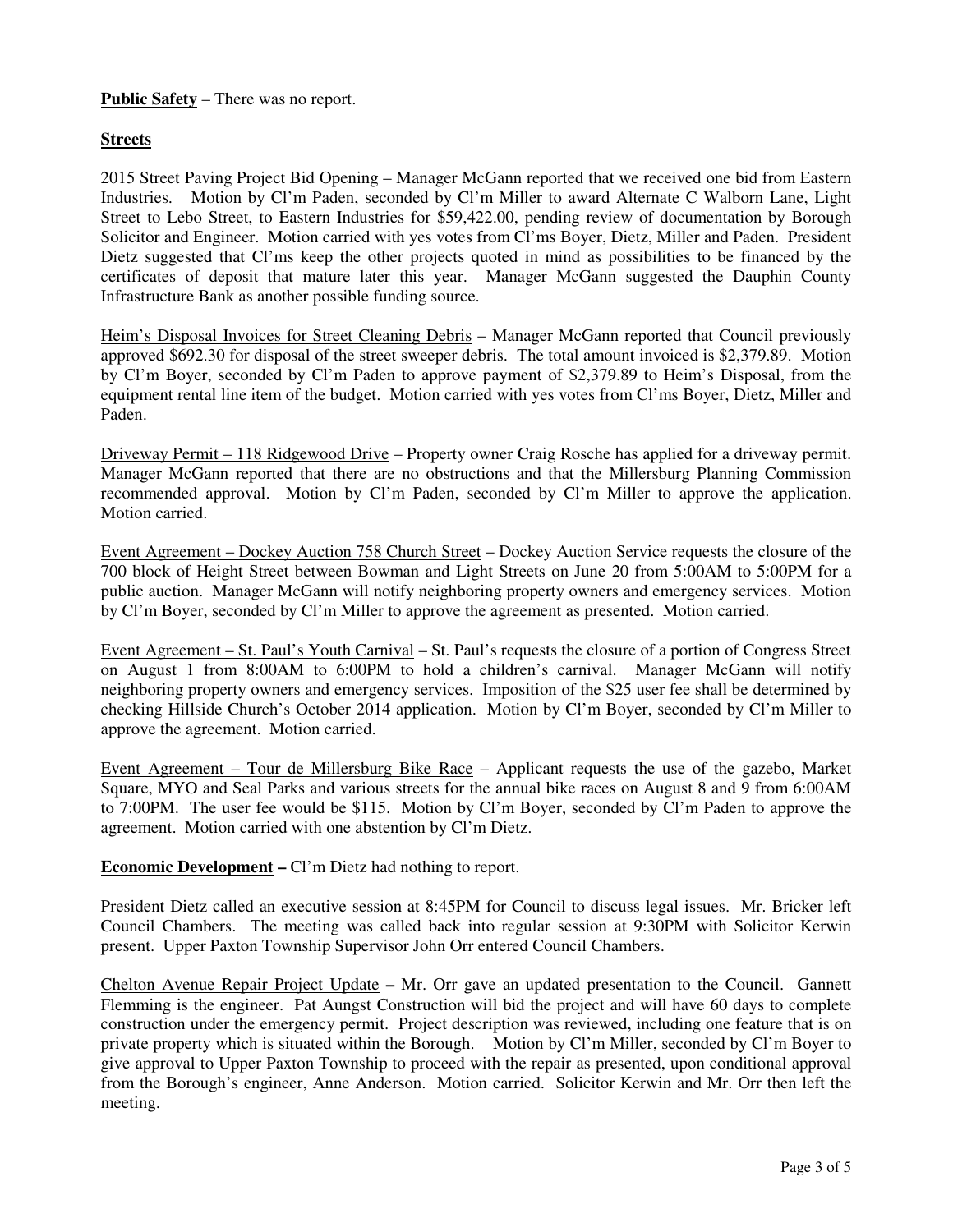# **Public Safety** – There was no report.

## **Streets**

2015 Street Paving Project Bid Opening – Manager McGann reported that we received one bid from Eastern Industries. Motion by Cl'm Paden, seconded by Cl'm Miller to award Alternate C Walborn Lane, Light Street to Lebo Street, to Eastern Industries for \$59,422.00, pending review of documentation by Borough Solicitor and Engineer. Motion carried with yes votes from Cl'ms Boyer, Dietz, Miller and Paden. President Dietz suggested that Cl'ms keep the other projects quoted in mind as possibilities to be financed by the certificates of deposit that mature later this year. Manager McGann suggested the Dauphin County Infrastructure Bank as another possible funding source.

Heim's Disposal Invoices for Street Cleaning Debris – Manager McGann reported that Council previously approved \$692.30 for disposal of the street sweeper debris. The total amount invoiced is \$2,379.89. Motion by Cl'm Boyer, seconded by Cl'm Paden to approve payment of \$2,379.89 to Heim's Disposal, from the equipment rental line item of the budget. Motion carried with yes votes from Cl'ms Boyer, Dietz, Miller and Paden.

Driveway Permit – 118 Ridgewood Drive – Property owner Craig Rosche has applied for a driveway permit. Manager McGann reported that there are no obstructions and that the Millersburg Planning Commission recommended approval. Motion by Cl'm Paden, seconded by Cl'm Miller to approve the application. Motion carried.

Event Agreement – Dockey Auction 758 Church Street – Dockey Auction Service requests the closure of the 700 block of Height Street between Bowman and Light Streets on June 20 from 5:00AM to 5:00PM for a public auction. Manager McGann will notify neighboring property owners and emergency services. Motion by Cl'm Boyer, seconded by Cl'm Miller to approve the agreement as presented. Motion carried.

Event Agreement – St. Paul's Youth Carnival – St. Paul's requests the closure of a portion of Congress Street on August 1 from 8:00AM to 6:00PM to hold a children's carnival. Manager McGann will notify neighboring property owners and emergency services. Imposition of the \$25 user fee shall be determined by checking Hillside Church's October 2014 application. Motion by Cl'm Boyer, seconded by Cl'm Miller to approve the agreement. Motion carried.

Event Agreement – Tour de Millersburg Bike Race – Applicant requests the use of the gazebo, Market Square, MYO and Seal Parks and various streets for the annual bike races on August 8 and 9 from 6:00AM to 7:00PM. The user fee would be \$115. Motion by Cl'm Boyer, seconded by Cl'm Paden to approve the agreement. Motion carried with one abstention by Cl'm Dietz.

**Economic Development –** Cl'm Dietz had nothing to report.

President Dietz called an executive session at 8:45PM for Council to discuss legal issues. Mr. Bricker left Council Chambers. The meeting was called back into regular session at 9:30PM with Solicitor Kerwin present. Upper Paxton Township Supervisor John Orr entered Council Chambers.

Chelton Avenue Repair Project Update **–** Mr. Orr gave an updated presentation to the Council. Gannett Flemming is the engineer. Pat Aungst Construction will bid the project and will have 60 days to complete construction under the emergency permit. Project description was reviewed, including one feature that is on private property which is situated within the Borough. Motion by Cl'm Miller, seconded by Cl'm Boyer to give approval to Upper Paxton Township to proceed with the repair as presented, upon conditional approval from the Borough's engineer, Anne Anderson. Motion carried. Solicitor Kerwin and Mr. Orr then left the meeting.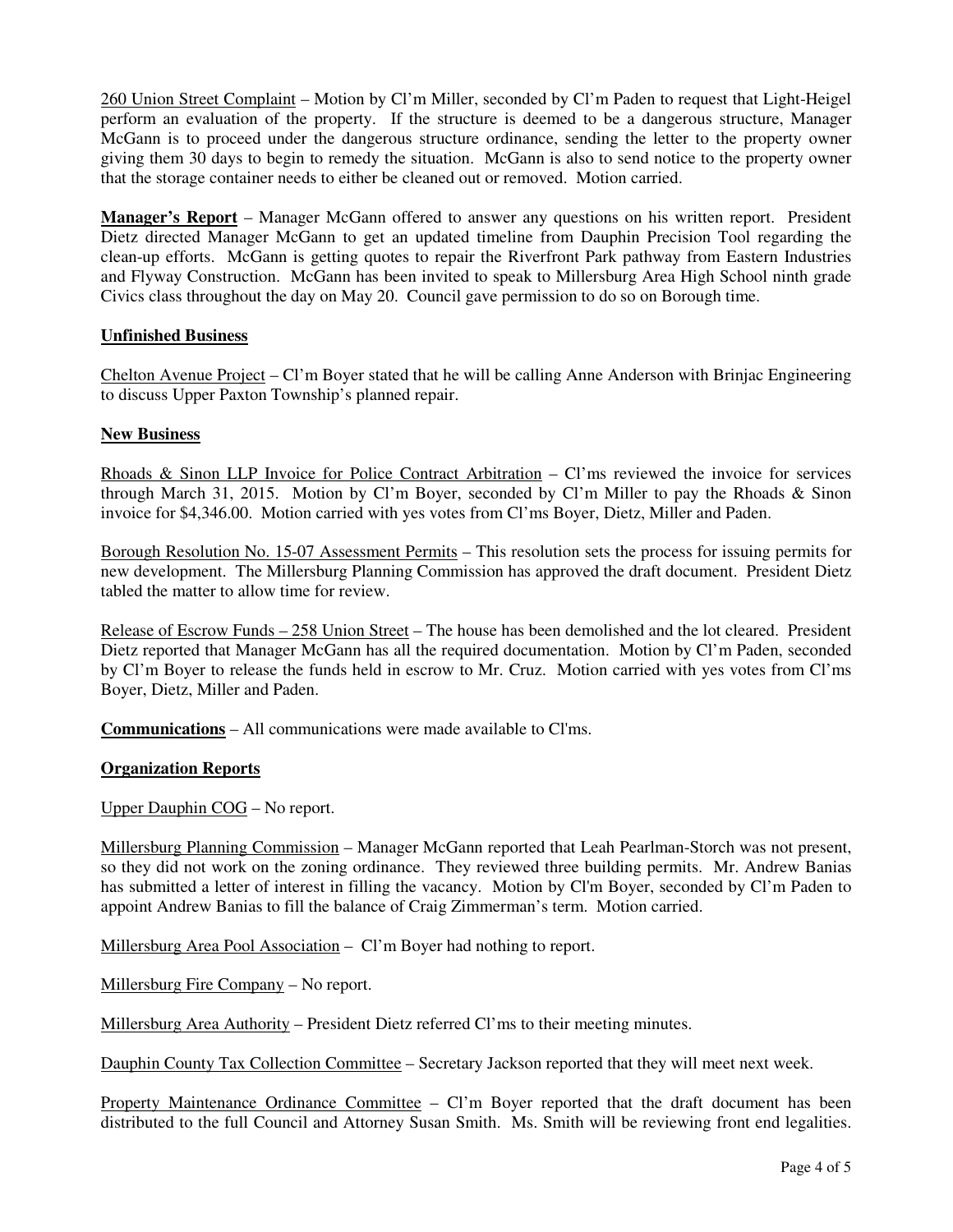260 Union Street Complaint – Motion by Cl'm Miller, seconded by Cl'm Paden to request that Light-Heigel perform an evaluation of the property. If the structure is deemed to be a dangerous structure, Manager McGann is to proceed under the dangerous structure ordinance, sending the letter to the property owner giving them 30 days to begin to remedy the situation. McGann is also to send notice to the property owner that the storage container needs to either be cleaned out or removed. Motion carried.

**Manager's Report** – Manager McGann offered to answer any questions on his written report. President Dietz directed Manager McGann to get an updated timeline from Dauphin Precision Tool regarding the clean-up efforts. McGann is getting quotes to repair the Riverfront Park pathway from Eastern Industries and Flyway Construction. McGann has been invited to speak to Millersburg Area High School ninth grade Civics class throughout the day on May 20. Council gave permission to do so on Borough time.

## **Unfinished Business**

Chelton Avenue Project – Cl'm Boyer stated that he will be calling Anne Anderson with Brinjac Engineering to discuss Upper Paxton Township's planned repair.

## **New Business**

Rhoads & Sinon LLP Invoice for Police Contract Arbitration – Cl'ms reviewed the invoice for services through March 31, 2015. Motion by Cl'm Boyer, seconded by Cl'm Miller to pay the Rhoads & Sinon invoice for \$4,346.00. Motion carried with yes votes from Cl'ms Boyer, Dietz, Miller and Paden.

Borough Resolution No. 15-07 Assessment Permits – This resolution sets the process for issuing permits for new development. The Millersburg Planning Commission has approved the draft document. President Dietz tabled the matter to allow time for review.

Release of Escrow Funds – 258 Union Street – The house has been demolished and the lot cleared. President Dietz reported that Manager McGann has all the required documentation. Motion by Cl'm Paden, seconded by Cl'm Boyer to release the funds held in escrow to Mr. Cruz. Motion carried with yes votes from Cl'ms Boyer, Dietz, Miller and Paden.

**Communications** – All communications were made available to Cl'ms.

## **Organization Reports**

Upper Dauphin COG – No report.

Millersburg Planning Commission – Manager McGann reported that Leah Pearlman-Storch was not present, so they did not work on the zoning ordinance. They reviewed three building permits. Mr. Andrew Banias has submitted a letter of interest in filling the vacancy. Motion by Cl'm Boyer, seconded by Cl'm Paden to appoint Andrew Banias to fill the balance of Craig Zimmerman's term. Motion carried.

Millersburg Area Pool Association – Cl'm Boyer had nothing to report.

Millersburg Fire Company – No report.

Millersburg Area Authority – President Dietz referred Cl'ms to their meeting minutes.

Dauphin County Tax Collection Committee – Secretary Jackson reported that they will meet next week.

Property Maintenance Ordinance Committee – Cl'm Boyer reported that the draft document has been distributed to the full Council and Attorney Susan Smith. Ms. Smith will be reviewing front end legalities.